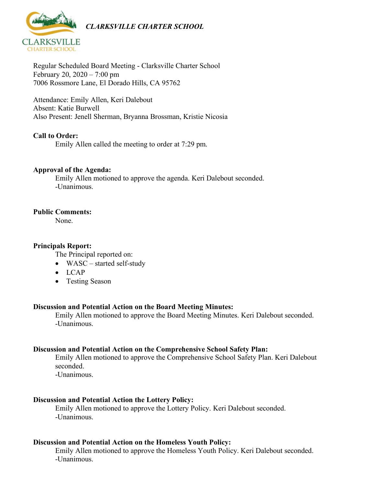

Regular Scheduled Board Meeting - Clarksville Charter School February 20, 2020 – 7:00 pm 7006 Rossmore Lane, El Dorado Hills, CA 95762

Attendance: Emily Allen, Keri Dalebout Absent: Katie Burwell Also Present: Jenell Sherman, Bryanna Brossman, Kristie Nicosia

# **Call to Order:**

Emily Allen called the meeting to order at 7:29 pm.

### **Approval of the Agenda:**

Emily Allen motioned to approve the agenda. Keri Dalebout seconded. -Unanimous.

### **Public Comments:**

None.

### **Principals Report:**

The Principal reported on:

- WASC started self-study
- LCAP
- Testing Season

#### **Discussion and Potential Action on the Board Meeting Minutes:**

Emily Allen motioned to approve the Board Meeting Minutes. Keri Dalebout seconded. -Unanimous.

#### **Discussion and Potential Action on the Comprehensive School Safety Plan:**

Emily Allen motioned to approve the Comprehensive School Safety Plan. Keri Dalebout seconded.

-Unanimous.

# **Discussion and Potential Action the Lottery Policy:**

Emily Allen motioned to approve the Lottery Policy. Keri Dalebout seconded. -Unanimous.

#### **Discussion and Potential Action on the Homeless Youth Policy:**

Emily Allen motioned to approve the Homeless Youth Policy. Keri Dalebout seconded. -Unanimous.